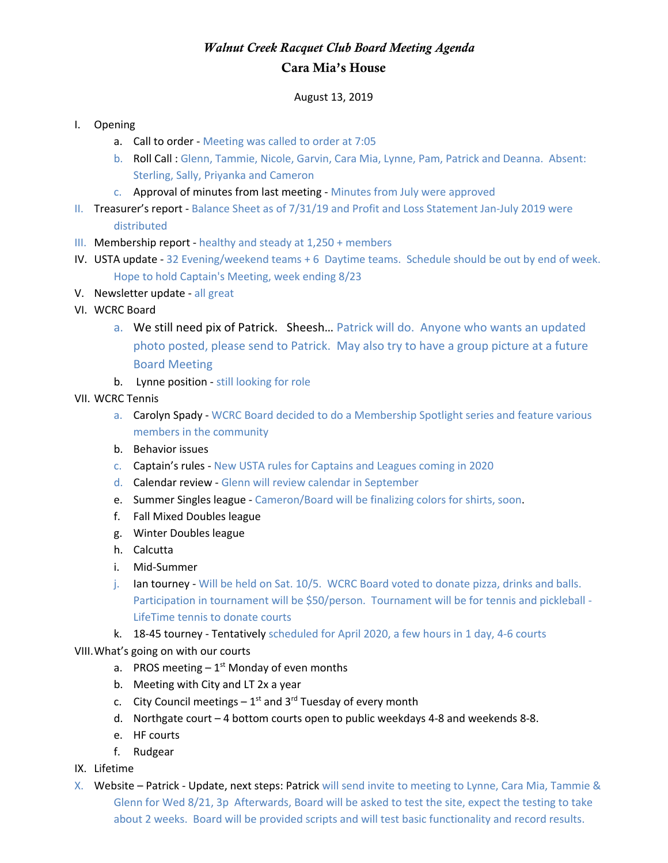## *Walnut Creek Racquet Club Board Meeting Agenda* Cara Mia's House

## August 13, 2019

## I. Opening

- a. Call to order Meeting was called to order at 7:05
- b. Roll Call : Glenn, Tammie, Nicole, Garvin, Cara Mia, Lynne, Pam, Patrick and Deanna. Absent: Sterling, Sally, Priyanka and Cameron
- c. Approval of minutes from last meeting Minutes from July were approved
- II. Treasurer's report Balance Sheet as of 7/31/19 and Profit and Loss Statement Jan-July 2019 were distributed
- III. Membership report healthy and steady at 1,250 + members
- IV. USTA update 32 Evening/weekend teams + 6 Daytime teams. Schedule should be out by end of week. Hope to hold Captain's Meeting, week ending 8/23
- V. Newsletter update all great
- VI. WCRC Board
	- a. We still need pix of Patrick. Sheesh… Patrick will do. Anyone who wants an updated photo posted, please send to Patrick. May also try to have a group picture at a future Board Meeting
	- b. Lynne position still looking for role
- VII. WCRC Tennis
	- a. Carolyn Spady WCRC Board decided to do a Membership Spotlight series and feature various members in the community
	- b. Behavior issues
	- c. Captain's rules New USTA rules for Captains and Leagues coming in 2020
	- d. Calendar review Glenn will review calendar in September
	- e. Summer Singles league Cameron/Board will be finalizing colors for shirts, soon.
	- f. Fall Mixed Doubles league
	- g. Winter Doubles league
	- h. Calcutta
	- i. Mid-Summer
	- j. Ian tourney Will be held on Sat. 10/5. WCRC Board voted to donate pizza, drinks and balls. Participation in tournament will be \$50/person. Tournament will be for tennis and pickleball -LifeTime tennis to donate courts
	- k. 18-45 tourney Tentatively scheduled for April 2020, a few hours in 1 day, 4-6 courts

VIII.What's going on with our courts

- a. PROS meeting  $-1<sup>st</sup>$  Monday of even months
- b. Meeting with City and LT 2x a year
- c. City Council meetings  $-1^{st}$  and 3<sup>rd</sup> Tuesday of every month
- d. Northgate court 4 bottom courts open to public weekdays 4-8 and weekends 8-8.
- e. HF courts
- f. Rudgear
- IX. Lifetime
- X. Website Patrick Update, next steps: Patrick will send invite to meeting to Lynne, Cara Mia, Tammie & Glenn for Wed 8/21, 3p Afterwards, Board will be asked to test the site, expect the testing to take about 2 weeks. Board will be provided scripts and will test basic functionality and record results.